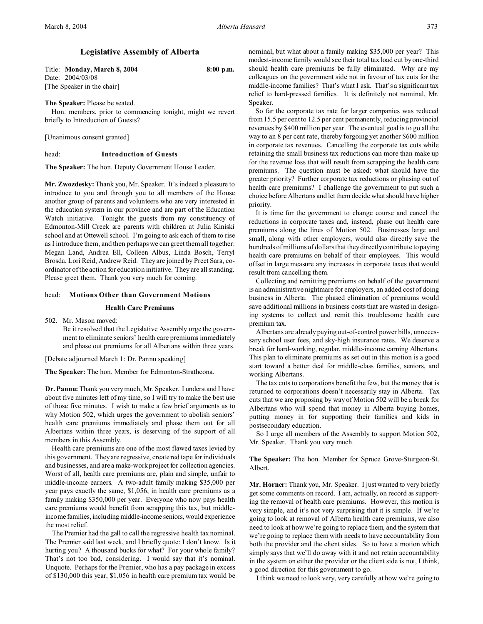# **Legislative Assembly of Alberta**

Title: **Monday, March 8, 2004 8:00 p.m.** Date: 2004/03/08 [The Speaker in the chair]

### **The Speaker:** Please be seated.

Hon. members, prior to commencing tonight, might we revert briefly to Introduction of Guests?

[Unanimous consent granted]

#### head: **Introduction of Guests**

**The Speaker:** The hon. Deputy Government House Leader.

**Mr. Zwozdesky:** Thank you, Mr. Speaker. It's indeed a pleasure to introduce to you and through you to all members of the House another group of parents and volunteers who are very interested in the education system in our province and are part of the Education Watch initiative. Tonight the guests from my constituency of Edmonton-Mill Creek are parents with children at Julia Kiniski school and at Ottewell school. I'm going to ask each of them to rise as I introduce them, and then perhaps we can greet them all together: Megan Land, Andrea Ell, Colleen Albus, Linda Bosch, Terryl Brosda, Lori Reid, Andrew Reid. They are joined by Preet Sara, coordinator of the action for education initiative. They are all standing. Please greet them. Thank you very much for coming.

### head: **Motions Other than Government Motions**

### **Health Care Premiums**

502. Mr. Mason moved:

Be it resolved that the Legislative Assembly urge the government to eliminate seniors' health care premiums immediately and phase out premiums for all Albertans within three years.

[Debate adjourned March 1: Dr. Pannu speaking]

**The Speaker:** The hon. Member for Edmonton-Strathcona.

**Dr. Pannu:** Thank you very much, Mr. Speaker. I understand I have about five minutes left of my time, so I will try to make the best use of those five minutes. I wish to make a few brief arguments as to why Motion 502, which urges the government to abolish seniors' health care premiums immediately and phase them out for all Albertans within three years, is deserving of the support of all members in this Assembly.

Health care premiums are one of the most flawed taxes levied by this government. They are regressive, create red tape for individuals and businesses, and are a make-work project for collection agencies. Worst of all, health care premiums are, plain and simple, unfair to middle-income earners. A two-adult family making \$35,000 per year pays exactly the same, \$1,056, in health care premiums as a family making \$350,000 per year. Everyone who now pays health care premiums would benefit from scrapping this tax, but middleincome families, including middle-income seniors, would experience the most relief.

The Premier had the gall to call the regressive health tax nominal. The Premier said last week, and I briefly quote: I don't know. Is it hurting you? A thousand bucks for what? For your whole family? That's not too bad, considering. I would say that it's nominal. Unquote. Perhaps for the Premier, who has a pay package in excess of \$130,000 this year, \$1,056 in health care premium tax would be

nominal, but what about a family making \$35,000 per year? This modest-income family would see their total tax load cut by one-third should health care premiums be fully eliminated. Why are my colleagues on the government side not in favour of tax cuts for the middle-income families? That's what I ask. That's a significant tax relief to hard-pressed families. It is definitely not nominal, Mr. Speaker.

So far the corporate tax rate for larger companies was reduced from 15.5 per cent to 12.5 per cent permanently, reducing provincial revenues by \$400 million per year. The eventual goal is to go all the way to an 8 per cent rate, thereby forgoing yet another \$600 million in corporate tax revenues. Cancelling the corporate tax cuts while retaining the small business tax reductions can more than make up for the revenue loss that will result from scrapping the health care premiums. The question must be asked: what should have the greater priority? Further corporate tax reductions or phasing out of health care premiums? I challenge the government to put such a choice before Albertans and let them decide what should have higher priority.

It is time for the government to change course and cancel the reductions in corporate taxes and, instead, phase out health care premiums along the lines of Motion 502. Businesses large and small, along with other employers, would also directly save the hundreds of millions of dollars that they directly contribute to paying health care premiums on behalf of their employees. This would offset in large measure any increases in corporate taxes that would result from cancelling them.

Collecting and remitting premiums on behalf of the government is an administrative nightmare for employers, an added cost of doing business in Alberta. The phased elimination of premiums would save additional millions in business costs that are wasted in designing systems to collect and remit this troublesome health care premium tax.

Albertans are already paying out-of-control power bills, unnecessary school user fees, and sky-high insurance rates. We deserve a break for hard-working, regular, middle-income earning Albertans. This plan to eliminate premiums as set out in this motion is a good start toward a better deal for middle-class families, seniors, and working Albertans.

The tax cuts to corporations benefit the few, but the money that is returned to corporations doesn't necessarily stay in Alberta. Tax cuts that we are proposing by way of Motion 502 will be a break for Albertans who will spend that money in Alberta buying homes, putting money in for supporting their families and kids in postsecondary education.

So I urge all members of the Assembly to support Motion 502, Mr. Speaker. Thank you very much.

### **The Speaker:** The hon. Member for Spruce Grove-Sturgeon-St. Albert.

**Mr. Horner:** Thank you, Mr. Speaker. I just wanted to very briefly get some comments on record. I am, actually, on record as supporting the removal of health care premiums. However, this motion is very simple, and it's not very surprising that it is simple. If we're going to look at removal of Alberta health care premiums, we also need to look at how we're going to replace them, and the system that we're going to replace them with needs to have accountability from both the provider and the client sides. So to have a motion which simply says that we'll do away with it and not retain accountability in the system on either the provider or the client side is not, I think, a good direction for this government to go.

I think we need to look very, very carefully at how we're going to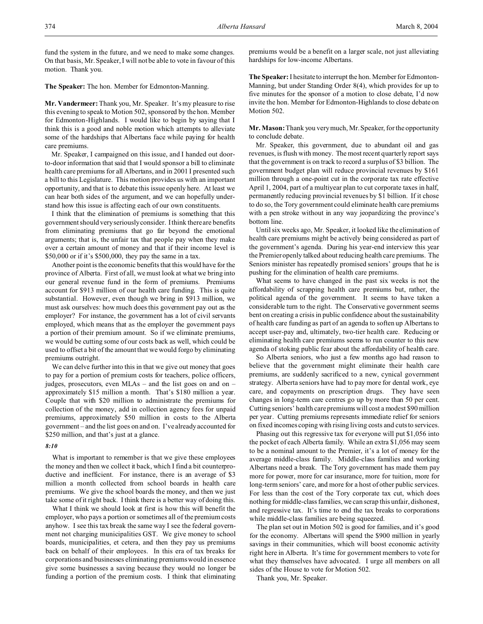fund the system in the future, and we need to make some changes. On that basis, Mr. Speaker, I will not be able to vote in favour of this motion. Thank you.

**The Speaker:** The hon. Member for Edmonton-Manning.

**Mr. Vandermeer:** Thank you, Mr. Speaker. It's my pleasure to rise this evening to speak to Motion 502, sponsored by the hon. Member for Edmonton-Highlands. I would like to begin by saying that I think this is a good and noble motion which attempts to alleviate some of the hardships that Albertans face while paying for health care premiums.

Mr. Speaker, I campaigned on this issue, and I handed out doorto-door information that said that I would sponsor a bill to eliminate health care premiums for all Albertans, and in 2001 I presented such a bill to this Legislature. This motion provides us with an important opportunity, and that is to debate this issue openly here. At least we can hear both sides of the argument, and we can hopefully understand how this issue is affecting each of our own constituents.

I think that the elimination of premiums is something that this government should very seriously consider. I think there are benefits from eliminating premiums that go far beyond the emotional arguments; that is, the unfair tax that people pay when they make over a certain amount of money and that if their income level is \$50,000 or if it's \$500,000, they pay the same in a tax.

Another point is the economic benefits that this would have for the province of Alberta. First of all, we must look at what we bring into our general revenue fund in the form of premiums. Premiums account for \$913 million of our health care funding. This is quite substantial. However, even though we bring in \$913 million, we must ask ourselves: how much does this government pay out as the employer? For instance, the government has a lot of civil servants employed, which means that as the employer the government pays a portion of their premium amount. So if we eliminate premiums, we would be cutting some of our costs back as well, which could be used to offset a bit of the amount that we would forgo by eliminating premiums outright.

We can delve further into this in that we give out money that goes to pay for a portion of premium costs for teachers, police officers, judges, prosecutors, even MLAs – and the list goes on and on – approximately \$15 million a month. That's \$180 million a year. Couple that with \$20 million to administrate the premiums for collection of the money, add in collection agency fees for unpaid premiums, approximately \$50 million in costs to the Alberta government – and the list goes on and on. I've already accounted for \$250 million, and that's just at a glance.

#### *8:10*

What is important to remember is that we give these employees the money and then we collect it back, which I find a bit counterproductive and inefficient. For instance, there is an average of \$3 million a month collected from school boards in health care premiums. We give the school boards the money, and then we just take some of it right back. I think there is a better way of doing this.

What I think we should look at first is how this will benefit the employer, who pays a portion or sometimes all of the premium costs anyhow. I see this tax break the same way I see the federal government not charging municipalities GST. We give money to school boards, municipalities, et cetera, and then they pay us premiums back on behalf of their employees. In this era of tax breaks for corporations and businesses eliminating premiums would in essence give some businesses a saving because they would no longer be funding a portion of the premium costs. I think that eliminating

premiums would be a benefit on a larger scale, not just alleviating hardships for low-income Albertans.

**The Speaker:** I hesitate to interrupt the hon. Member for Edmonton-Manning, but under Standing Order 8(4), which provides for up to five minutes for the sponsor of a motion to close debate, I'd now invite the hon. Member for Edmonton-Highlands to close debate on Motion 502.

**Mr. Mason:** Thank you very much, Mr. Speaker, for the opportunity to conclude debate.

Mr. Speaker, this government, due to abundant oil and gas revenues, is flush with money. The most recent quarterly report says that the government is on track to record a surplus of \$3 billion. The government budget plan will reduce provincial revenues by \$161 million through a one-point cut in the corporate tax rate effective April 1, 2004, part of a multiyear plan to cut corporate taxes in half, permanently reducing provincial revenues by \$1 billion. If it chose to do so, the Tory government could eliminate health care premiums with a pen stroke without in any way jeopardizing the province's bottom line.

Until six weeks ago, Mr. Speaker, it looked like the elimination of health care premiums might be actively being considered as part of the government's agenda. During his year-end interview this year the Premier openly talked about reducing health care premiums. The Seniors minister has repeatedly promised seniors' groups that he is pushing for the elimination of health care premiums.

What seems to have changed in the past six weeks is not the affordability of scrapping health care premiums but, rather, the political agenda of the government. It seems to have taken a considerable turn to the right. The Conservative government seems bent on creating a crisis in public confidence about the sustainability of health care funding as part of an agenda to soften up Albertans to accept user-pay and, ultimately, two-tier health care. Reducing or eliminating health care premiums seems to run counter to this new agenda of stoking public fear about the affordability of health care.

So Alberta seniors, who just a few months ago had reason to believe that the government might eliminate their health care premiums, are suddenly sacrificed to a new, cynical government strategy. Alberta seniors have had to pay more for dental work, eye care, and copayments on prescription drugs. They have seen changes in long-term care centres go up by more than 50 per cent. Cutting seniors' health care premiums will cost a modest \$90 million per year. Cutting premiums represents immediate relief for seniors on fixed incomes coping with rising living costs and cuts to services.

Phasing out this regressive tax for everyone will put \$1,056 into the pocket of each Alberta family. While an extra \$1,056 may seem to be a nominal amount to the Premier, it's a lot of money for the average middle-class family. Middle-class families and working Albertans need a break. The Tory government has made them pay more for power, more for car insurance, more for tuition, more for long-term seniors' care, and more for a host of other public services. For less than the cost of the Tory corporate tax cut, which does nothing for middle-class families, we can scrap this unfair, dishonest, and regressive tax. It's time to end the tax breaks to corporations while middle-class families are being squeezed.

The plan set out in Motion 502 is good for families, and it's good for the economy. Albertans will spend the \$900 million in yearly savings in their communities, which will boost economic activity right here in Alberta. It's time for government members to vote for what they themselves have advocated. I urge all members on all sides of the House to vote for Motion 502.

Thank you, Mr. Speaker.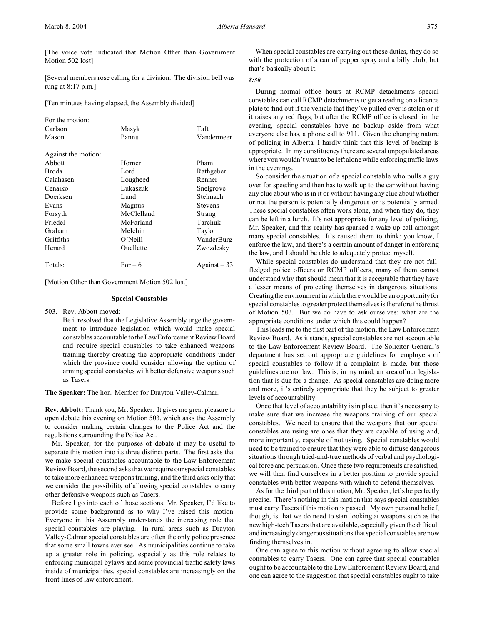[The voice vote indicated that Motion Other than Government Motion 502 lost]

[Several members rose calling for a division. The division bell was rung at 8:17 p.m.]

[Ten minutes having elapsed, the Assembly divided]

| For the motion:     |            |                |
|---------------------|------------|----------------|
| Carlson             | Masyk      | Taft           |
| Mason               | Pannu      | Vandermeer     |
| Against the motion: |            |                |
| Abbott              | Horner     | Pham           |
| Broda               | Lord       | Rathgeber      |
| Calahasen           | Lougheed   | Renner         |
| Cenaiko             | Lukaszuk   | Snelgrove      |
| Doerksen            | Lund       | Stelmach       |
| Evans               | Magnus     | <b>Stevens</b> |
| Forsyth             | McClelland | Strang         |
| Friedel             | McFarland  | Tarchuk        |
| Graham              | Melchin    | Taylor         |
| Griffiths           | O'Neill    | VanderBurg     |
| Herard              | Ouellette  | Zwozdesky      |
| Totals:             | $For-6$    | $Against-33$   |

[Motion Other than Government Motion 502 lost]

#### **Special Constables**

503. Rev. Abbott moved:

Be it resolved that the Legislative Assembly urge the government to introduce legislation which would make special constables accountable to theLawEnforcement Review Board and require special constables to take enhanced weapons training thereby creating the appropriate conditions under which the province could consider allowing the option of arming special constables with better defensive weapons such as Tasers.

**The Speaker:** The hon. Member for Drayton Valley-Calmar.

**Rev. Abbott:** Thank you, Mr. Speaker. It gives me great pleasure to open debate this evening on Motion 503, which asks the Assembly to consider making certain changes to the Police Act and the regulations surrounding the Police Act.

Mr. Speaker, for the purposes of debate it may be useful to separate this motion into its three distinct parts. The first asks that we make special constables accountable to the Law Enforcement Review Board, the second asks that we require our special constables to take more enhanced weapons training, and the third asks only that we consider the possibility of allowing special constables to carry other defensive weapons such as Tasers.

Before I go into each of those sections, Mr. Speaker, I'd like to provide some background as to why I've raised this motion. Everyone in this Assembly understands the increasing role that special constables are playing. In rural areas such as Drayton Valley-Calmar special constables are often the only police presence that some small towns ever see. As municipalities continue to take up a greater role in policing, especially as this role relates to enforcing municipal bylaws and some provincial traffic safety laws inside of municipalities, special constables are increasingly on the front lines of law enforcement.

When special constables are carrying out these duties, they do so with the protection of a can of pepper spray and a billy club, but that's basically about it.

### *8:30*

During normal office hours at RCMP detachments special constables can call RCMP detachments to get a reading on a licence plate to find out if the vehicle that they've pulled over is stolen or if it raises any red flags, but after the RCMP office is closed for the evening, special constables have no backup aside from what everyone else has, a phone call to 911. Given the changing nature of policing in Alberta, I hardly think that this level of backup is appropriate. In my constituency there are several unpopulated areas where you wouldn't want to be left alone while enforcing traffic laws in the evenings.

So consider the situation of a special constable who pulls a guy over for speeding and then has to walk up to the car without having any clue about who is in it or without having any clue about whether or not the person is potentially dangerous or is potentially armed. These special constables often work alone, and when they do, they can be left in a lurch. It's not appropriate for any level of policing, Mr. Speaker, and this reality has sparked a wake-up call amongst many special constables. It's caused them to think: you know, I enforce the law, and there's a certain amount of danger in enforcing the law, and I should be able to adequately protect myself.

While special constables do understand that they are not fullfledged police officers or RCMP officers, many of them cannot understand why that should mean that it is acceptable that they have a lesser means of protecting themselves in dangerous situations. Creating the environment in which there would be an opportunity for special constables to greater protect themselves is therefore the thrust of Motion 503. But we do have to ask ourselves: what are the appropriate conditions under which this could happen?

This leads me to the first part of the motion, the Law Enforcement Review Board. As it stands, special constables are not accountable to the Law Enforcement Review Board. The Solicitor General's department has set out appropriate guidelines for employers of special constables to follow if a complaint is made, but those guidelines are not law. This is, in my mind, an area of our legislation that is due for a change. As special constables are doing more and more, it's entirely appropriate that they be subject to greater levels of accountability.

Once that level of accountability is in place, then it's necessary to make sure that we increase the weapons training of our special constables. We need to ensure that the weapons that our special constables are using are ones that they are capable of using and, more importantly, capable of not using. Special constables would need to be trained to ensure that they were able to diffuse dangerous situations through tried-and-true methods of verbal and psychological force and persuasion. Once these two requirements are satisfied, we will then find ourselves in a better position to provide special constables with better weapons with which to defend themselves.

As for the third part of this motion, Mr. Speaker, let's be perfectly precise. There's nothing in this motion that says special constables must carry Tasers if this motion is passed. My own personal belief, though, is that we do need to start looking at weapons such as the new high-tech Tasers that are available, especially given the difficult and increasingly dangerous situations that special constables are now finding themselves in.

One can agree to this motion without agreeing to allow special constables to carry Tasers. One can agree that special constables ought to be accountable to the Law Enforcement Review Board, and one can agree to the suggestion that special constables ought to take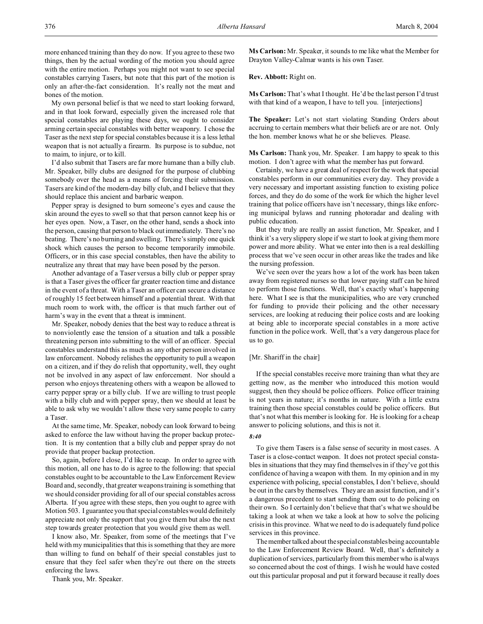more enhanced training than they do now. If you agree to these two things, then by the actual wording of the motion you should agree with the entire motion. Perhaps you might not want to see special constables carrying Tasers, but note that this part of the motion is only an after-the-fact consideration. It's really not the meat and bones of the motion.

My own personal belief is that we need to start looking forward, and in that look forward, especially given the increased role that special constables are playing these days, we ought to consider arming certain special constables with better weaponry. I chose the Taser as the next step for special constables because it is a less lethal weapon that is not actually a firearm. Its purpose is to subdue, not to maim, to injure, or to kill.

I'd also submit that Tasers are far more humane than a billy club. Mr. Speaker, billy clubs are designed for the purpose of clubbing somebody over the head as a means of forcing their submission. Tasers are kind of the modern-day billy club, and I believe that they should replace this ancient and barbaric weapon.

Pepper spray is designed to burn someone's eyes and cause the skin around the eyes to swell so that that person cannot keep his or her eyes open. Now, a Taser, on the other hand, sends a shock into the person, causing that person to black out immediately. There's no beating. There's no burning and swelling. There's simply one quick shock which causes the person to become temporarily immobile. Officers, or in this case special constables, then have the ability to neutralize any threat that may have been posed by the person.

Another advantage of a Taser versus a billy club or pepper spray is that a Taser gives the officer far greater reaction time and distance in the event of a threat. With a Taser an officer can secure a distance of roughly 15 feet between himself and a potential threat. With that much room to work with, the officer is that much farther out of harm's way in the event that a threat is imminent.

Mr. Speaker, nobody denies that the best way to reduce a threat is to nonviolently ease the tension of a situation and talk a possible threatening person into submitting to the will of an officer. Special constables understand this as much as any other person involved in law enforcement. Nobody relishes the opportunity to pull a weapon on a citizen, and if they do relish that opportunity, well, they ought not be involved in any aspect of law enforcement. Nor should a person who enjoys threatening others with a weapon be allowed to carry pepper spray or a billy club. If we are willing to trust people with a billy club and with pepper spray, then we should at least be able to ask why we wouldn't allow these very same people to carry a Taser.

At the same time, Mr. Speaker, nobody can look forward to being asked to enforce the law without having the proper backup protection. It is my contention that a billy club and pepper spray do not provide that proper backup protection.

So, again, before I close, I'd like to recap. In order to agree with this motion, all one has to do is agree to the following: that special constables ought to be accountable to the Law Enforcement Review Board and, secondly, that greater weapons training is something that we should consider providing for all of our special constables across Alberta. If you agree with these steps, then you ought to agree with Motion 503. I guarantee you that special constables would definitely appreciate not only the support that you give them but also the next step towards greater protection that you would give them as well.

I know also, Mr. Speaker, from some of the meetings that I've held with my municipalities that this is something that they are more than willing to fund on behalf of their special constables just to ensure that they feel safer when they're out there on the streets enforcing the laws.

Thank you, Mr. Speaker.

**Ms Carlson:** Mr. Speaker, it sounds to me like what the Member for Drayton Valley-Calmar wants is his own Taser.

**Rev. Abbott:** Right on.

**Ms Carlson:** That's what I thought. He'd be the last person I'd trust with that kind of a weapon, I have to tell you. [interjections]

**The Speaker:** Let's not start violating Standing Orders about accruing to certain members what their beliefs are or are not. Only the hon. member knows what he or she believes. Please.

**Ms Carlson:** Thank you, Mr. Speaker. I am happy to speak to this motion. I don't agree with what the member has put forward.

Certainly, we have a great deal of respect for the work that special constables perform in our communities every day. They provide a very necessary and important assisting function to existing police forces, and they do do some of the work for which the higher level training that police officers have isn't necessary, things like enforcing municipal bylaws and running photoradar and dealing with public education.

But they truly are really an assist function, Mr. Speaker, and I think it's a very slippery slope if we start to look at giving them more power and more ability. What we enter into then is a real deskilling process that we've seen occur in other areas like the trades and like the nursing profession.

We've seen over the years how a lot of the work has been taken away from registered nurses so that lower paying staff can be hired to perform those functions. Well, that's exactly what's happening here. What I see is that the municipalities, who are very crunched for funding to provide their policing and the other necessary services, are looking at reducing their police costs and are looking at being able to incorporate special constables in a more active function in the police work. Well, that's a very dangerous place for us to go.

#### [Mr. Shariff in the chair]

If the special constables receive more training than what they are getting now, as the member who introduced this motion would suggest, then they should be police officers. Police officer training is not years in nature; it's months in nature. With a little extra training then those special constables could be police officers. But that's not what this member is looking for. He is looking for a cheap answer to policing solutions, and this is not it.

### *8:40*

To give them Tasers is a false sense of security in most cases. A Taser is a close-contact weapon. It does not protect special constables in situations that they may find themselves in if they've got this confidence of having a weapon with them. In my opinion and in my experience with policing, special constables, I don't believe, should be out in the cars by themselves. They are an assist function, and it's a dangerous precedent to start sending them out to do policing on their own. So I certainly don't believe that that's what we should be taking a look at when we take a look at how to solve the policing crisis in this province. What we need to do is adequately fund police services in this province.

The member talked about the special constables being accountable to the Law Enforcement Review Board. Well, that's definitely a duplication of services, particularly from this member who is always so concerned about the cost of things. I wish he would have costed out this particular proposal and put it forward because it really does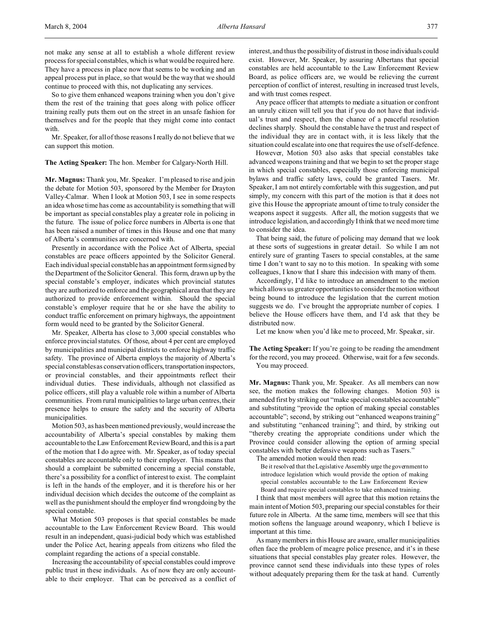not make any sense at all to establish a whole different review process for special constables, which is what would be required here. They have a process in place now that seems to be working and an appeal process put in place, so that would be the way that we should continue to proceed with this, not duplicating any services.

So to give them enhanced weapons training when you don't give them the rest of the training that goes along with police officer training really puts them out on the street in an unsafe fashion for themselves and for the people that they might come into contact with.

Mr. Speaker, for all of those reasons I really do not believe that we can support this motion.

**The Acting Speaker:** The hon. Member for Calgary-North Hill.

**Mr. Magnus:** Thank you, Mr. Speaker. I'm pleased to rise and join the debate for Motion 503, sponsored by the Member for Drayton Valley-Calmar. When I look at Motion 503, I see in some respects an idea whose time has come as accountability is something that will be important as special constables play a greater role in policing in the future. The issue of police force numbers in Alberta is one that has been raised a number of times in this House and one that many of Alberta's communities are concerned with.

Presently in accordance with the Police Act of Alberta, special constables are peace officers appointed by the Solicitor General. Each individual special constable has an appointment form signed by the Department of the Solicitor General. This form, drawn up by the special constable's employer, indicates which provincial statutes they are authorized to enforce and the geographical area that they are authorized to provide enforcement within. Should the special constable's employer require that he or she have the ability to conduct traffic enforcement on primary highways, the appointment form would need to be granted by the Solicitor General.

Mr. Speaker, Alberta has close to 3,000 special constables who enforce provincial statutes. Of those, about 4 per cent are employed by municipalities and municipal districts to enforce highway traffic safety. The province of Alberta employs the majority of Alberta's special constables as conservation officers, transportationinspectors, or provincial constables, and their appointments reflect their individual duties. These individuals, although not classified as police officers, still play a valuable role within a number of Alberta communities. From rural municipalities to large urban centres, their presence helps to ensure the safety and the security of Alberta municipalities.

Motion 503, as has been mentioned previously, would increase the accountability of Alberta's special constables by making them accountable to the Law Enforcement Review Board, and this is a part of the motion that I do agree with. Mr. Speaker, as of today special constables are accountable only to their employer. This means that should a complaint be submitted concerning a special constable, there's a possibility for a conflict of interest to exist. The complaint is left in the hands of the employer, and it is therefore his or her individual decision which decides the outcome of the complaint as well as the punishment should the employer find wrongdoing by the special constable.

What Motion 503 proposes is that special constables be made accountable to the Law Enforcement Review Board. This would result in an independent, quasi-judicial body which was established under the Police Act, hearing appeals from citizens who filed the complaint regarding the actions of a special constable.

Increasing the accountability of special constables could improve public trust in these individuals. As of now they are only accountable to their employer. That can be perceived as a conflict of interest, and thus the possibility of distrust in those individuals could exist. However, Mr. Speaker, by assuring Albertans that special constables are held accountable to the Law Enforcement Review Board, as police officers are, we would be relieving the current perception of conflict of interest, resulting in increased trust levels, and with trust comes respect.

Any peace officer that attempts to mediate a situation or confront an unruly citizen will tell you that if you do not have that individual's trust and respect, then the chance of a peaceful resolution declines sharply. Should the constable have the trust and respect of the individual they are in contact with, it is less likely that the situation could escalate into one that requires the use of self-defence.

However, Motion 503 also asks that special constables take advanced weapons training and that we begin to set the proper stage in which special constables, especially those enforcing municipal bylaws and traffic safety laws, could be granted Tasers. Mr. Speaker, I am not entirely comfortable with this suggestion, and put simply, my concern with this part of the motion is that it does not give this House the appropriate amount of time to truly consider the weapons aspect it suggests. After all, the motion suggests that we introduce legislation, and accordingly I think that we need more time to consider the idea.

That being said, the future of policing may demand that we look at these sorts of suggestions in greater detail. So while I am not entirely sure of granting Tasers to special constables, at the same time I don't want to say no to this motion. In speaking with some colleagues, I know that I share this indecision with many of them.

Accordingly, I'd like to introduce an amendment to the motion which allows us greater opportunities to consider the motion without being bound to introduce the legislation that the current motion suggests we do. I've brought the appropriate number of copies. I believe the House officers have them, and I'd ask that they be distributed now.

Let me know when you'd like me to proceed, Mr. Speaker, sir.

**The Acting Speaker:** If you're going to be reading the amendment for the record, you may proceed. Otherwise, wait for a few seconds. You may proceed.

**Mr. Magnus:** Thank you, Mr. Speaker. As all members can now see, the motion makes the following changes. Motion 503 is amended first by striking out "make special constables accountable" and substituting "provide the option of making special constables accountable"; second, by striking out "enhanced weapons training" and substituting "enhanced training"; and third, by striking out "thereby creating the appropriate conditions under which the Province could consider allowing the option of arming special constables with better defensive weapons such as Tasers."

The amended motion would then read:

Be it resolved that the Legislative Assembly urge the government to introduce legislation which would provide the option of making special constables accountable to the Law Enforcement Review Board and require special constables to take enhanced training.

I think that most members will agree that this motion retains the main intent of Motion 503, preparing our special constables for their future role in Alberta. At the same time, members will see that this motion softens the language around weaponry, which I believe is important at this time.

As many members in this House are aware, smaller municipalities often face the problem of meagre police presence, and it's in these situations that special constables play greater roles. However, the province cannot send these individuals into these types of roles without adequately preparing them for the task at hand. Currently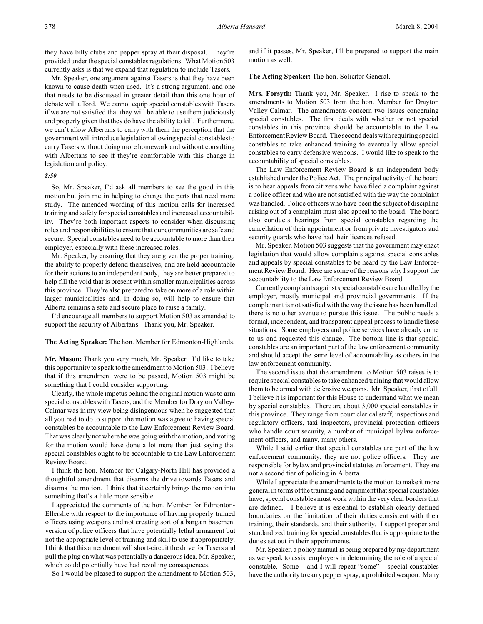Mr. Speaker, one argument against Tasers is that they have been known to cause death when used. It's a strong argument, and one that needs to be discussed in greater detail than this one hour of debate will afford. We cannot equip special constables with Tasers if we are not satisfied that they will be able to use them judiciously and properly given that they do have the ability to kill. Furthermore, we can't allow Albertans to carry with them the perception that the government will introduce legislation allowing special constables to carry Tasers without doing more homework and without consulting with Albertans to see if they're comfortable with this change in legislation and policy.

### *8:50*

So, Mr. Speaker, I'd ask all members to see the good in this motion but join me in helping to change the parts that need more study. The amended wording of this motion calls for increased training and safety for special constables and increased accountability. They're both important aspects to consider when discussing roles and responsibilities to ensure that our communities are safe and secure. Special constables need to be accountable to more than their employer, especially with these increased roles.

Mr. Speaker, by ensuring that they are given the proper training, the ability to properly defend themselves, and are held accountable for their actions to an independent body, they are better prepared to help fill the void that is present within smaller municipalities across this province. They're also prepared to take on more of a role within larger municipalities and, in doing so, will help to ensure that Alberta remains a safe and secure place to raise a family.

I'd encourage all members to support Motion 503 as amended to support the security of Albertans. Thank you, Mr. Speaker.

**The Acting Speaker:** The hon. Member for Edmonton-Highlands.

**Mr. Mason:** Thank you very much, Mr. Speaker. I'd like to take this opportunity to speak to the amendment to Motion 503. I believe that if this amendment were to be passed, Motion 503 might be something that I could consider supporting.

Clearly, the whole impetus behind the original motion was to arm special constables with Tasers, and the Member for Drayton Valley-Calmar was in my view being disingenuous when he suggested that all you had to do to support the motion was agree to having special constables be accountable to the Law Enforcement Review Board. That was clearly not where he was going with the motion, and voting for the motion would have done a lot more than just saying that special constables ought to be accountable to the Law Enforcement Review Board.

I think the hon. Member for Calgary-North Hill has provided a thoughtful amendment that disarms the drive towards Tasers and disarms the motion. I think that it certainly brings the motion into something that's a little more sensible.

I appreciated the comments of the hon. Member for Edmonton-Ellerslie with respect to the importance of having properly trained officers using weapons and not creating sort of a bargain basement version of police officers that have potentially lethal armament but not the appropriate level of training and skill to use it appropriately. I think that this amendment will short-circuit the drive for Tasers and pull the plug on what was potentially a dangerous idea, Mr. Speaker, which could potentially have had revolting consequences.

So I would be pleased to support the amendment to Motion 503,

and if it passes, Mr. Speaker, I'll be prepared to support the main motion as well.

**The Acting Speaker:** The hon. Solicitor General.

**Mrs. Forsyth:** Thank you, Mr. Speaker. I rise to speak to the amendments to Motion 503 from the hon. Member for Drayton Valley-Calmar. The amendments concern two issues concerning special constables. The first deals with whether or not special constables in this province should be accountable to the Law Enforcement Review Board. The second deals with requiring special constables to take enhanced training to eventually allow special constables to carry defensive weapons. I would like to speak to the accountability of special constables.

The Law Enforcement Review Board is an independent body established under the Police Act. The principal activity of the board is to hear appeals from citizens who have filed a complaint against a police officer and who are not satisfied with the way the complaint was handled. Police officers who have been the subject of discipline arising out of a complaint must also appeal to the board. The board also conducts hearings from special constables regarding the cancellation of their appointment or from private investigators and security guards who have had their licences refused.

Mr. Speaker, Motion 503 suggests that the government may enact legislation that would allow complaints against special constables and appeals by special constables to be heard by the Law Enforcement Review Board. Here are some of the reasons why I support the accountability to the Law Enforcement Review Board.

Currently complaints against special constables are handled by the employer, mostly municipal and provincial governments. If the complainant is not satisfied with the way the issue has been handled, there is no other avenue to pursue this issue. The public needs a formal, independent, and transparent appeal process to handle these situations. Some employers and police services have already come to us and requested this change. The bottom line is that special constables are an important part of the law enforcement community and should accept the same level of accountability as others in the law enforcement community.

The second issue that the amendment to Motion 503 raises is to require special constables to take enhanced training that would allow them to be armed with defensive weapons. Mr. Speaker, first of all, I believe it is important for this House to understand what we mean by special constables. There are about 3,000 special constables in this province. They range from court clerical staff, inspections and regulatory officers, taxi inspectors, provincial protection officers who handle court security, a number of municipal bylaw enforcement officers, and many, many others.

While I said earlier that special constables are part of the law enforcement community, they are not police officers. They are responsible for bylaw and provincial statutes enforcement. They are not a second tier of policing in Alberta.

While I appreciate the amendments to the motion to make it more general in terms of the training and equipment that special constables have, special constables must work within the very clear borders that are defined. I believe it is essential to establish clearly defined boundaries on the limitation of their duties consistent with their training, their standards, and their authority. I support proper and standardized training for special constables that is appropriate to the duties set out in their appointments.

Mr. Speaker, a policy manual is being prepared by my department as we speak to assist employers in determining the role of a special constable. Some – and I will repeat "some" – special constables have the authority to carry pepper spray, a prohibited weapon. Many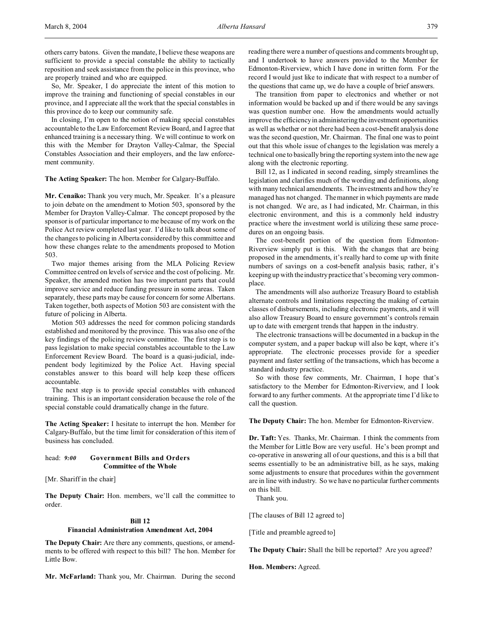others carry batons. Given the mandate, I believe these weapons are sufficient to provide a special constable the ability to tactically reposition and seek assistance from the police in this province, who are properly trained and who are equipped.

So, Mr. Speaker, I do appreciate the intent of this motion to improve the training and functioning of special constables in our province, and I appreciate all the work that the special constables in this province do to keep our community safe.

In closing, I'm open to the notion of making special constables accountable to the Law Enforcement Review Board, and I agree that enhanced training is a necessary thing. We will continue to work on this with the Member for Drayton Valley-Calmar, the Special Constables Association and their employers, and the law enforcement community.

**The Acting Speaker:** The hon. Member for Calgary-Buffalo.

**Mr. Cenaiko:** Thank you very much, Mr. Speaker. It's a pleasure to join debate on the amendment to Motion 503, sponsored by the Member for Drayton Valley-Calmar. The concept proposed by the sponsor is of particular importance to me because of my work on the Police Act review completed last year. I'd like to talk about some of the changes to policing in Alberta considered by this committee and how these changes relate to the amendments proposed to Motion 503.

Two major themes arising from the MLA Policing Review Committee centred on levels of service and the cost of policing. Mr. Speaker, the amended motion has two important parts that could improve service and reduce funding pressure in some areas. Taken separately, these parts may be cause for concern for some Albertans. Taken together, both aspects of Motion 503 are consistent with the future of policing in Alberta.

Motion 503 addresses the need for common policing standards established and monitored by the province. This was also one of the key findings of the policing review committee. The first step is to pass legislation to make special constables accountable to the Law Enforcement Review Board. The board is a quasi-judicial, independent body legitimized by the Police Act. Having special constables answer to this board will help keep these officers accountable.

The next step is to provide special constables with enhanced training. This is an important consideration because the role of the special constable could dramatically change in the future.

**The Acting Speaker:** I hesitate to interrupt the hon. Member for Calgary-Buffalo, but the time limit for consideration of this item of business has concluded.

### head: *9:00* **Government Bills and Orders Committee of the Whole**

[Mr. Shariff in the chair]

**The Deputy Chair:** Hon. members, we'll call the committee to order.

## **Bill 12**

### **Financial Administration Amendment Act, 2004**

**The Deputy Chair:** Are there any comments, questions, or amendments to be offered with respect to this bill? The hon. Member for Little Bow.

**Mr. McFarland:** Thank you, Mr. Chairman. During the second

reading there were a number of questions and comments brought up, and I undertook to have answers provided to the Member for Edmonton-Riverview, which I have done in written form. For the record I would just like to indicate that with respect to a number of the questions that came up, we do have a couple of brief answers.

The transition from paper to electronics and whether or not information would be backed up and if there would be any savings was question number one. How the amendments would actually improve the efficiency in administering the investment opportunities as well as whether or not there had been a cost-benefit analysis done was the second question, Mr. Chairman. The final one was to point out that this whole issue of changes to the legislation was merely a technical one to basically bring the reporting system into the new age along with the electronic reporting.

Bill 12, as I indicated in second reading, simply streamlines the legislation and clarifies much of the wording and definitions, along with many technical amendments. The investments and how they're managed has not changed. The manner in which payments are made is not changed. We are, as I had indicated, Mr. Chairman, in this electronic environment, and this is a commonly held industry practice where the investment world is utilizing these same procedures on an ongoing basis.

The cost-benefit portion of the question from Edmonton-Riverview simply put is this. With the changes that are being proposed in the amendments, it's really hard to come up with finite numbers of savings on a cost-benefit analysis basis; rather, it's keeping up with the industry practice that's becoming very commonplace.

The amendments will also authorize Treasury Board to establish alternate controls and limitations respecting the making of certain classes of disbursements, including electronic payments, and it will also allow Treasury Board to ensure government's controls remain up to date with emergent trends that happen in the industry.

The electronic transactions will be documented in a backup in the computer system, and a paper backup will also be kept, where it's appropriate. The electronic processes provide for a speedier payment and faster settling of the transactions, which has become a standard industry practice.

So with those few comments, Mr. Chairman, I hope that's satisfactory to the Member for Edmonton-Riverview, and I look forward to any further comments. At the appropriate time I'd like to call the question.

**The Deputy Chair:** The hon. Member for Edmonton-Riverview.

**Dr. Taft:** Yes. Thanks, Mr. Chairman. I think the comments from the Member for Little Bow are very useful. He's been prompt and co-operative in answering all of our questions, and this is a bill that seems essentially to be an administrative bill, as he says, making some adjustments to ensure that procedures within the government are in line with industry. So we have no particular further comments on this bill.

Thank you.

[The clauses of Bill 12 agreed to]

[Title and preamble agreed to]

**The Deputy Chair:** Shall the bill be reported? Are you agreed?

**Hon. Members:** Agreed.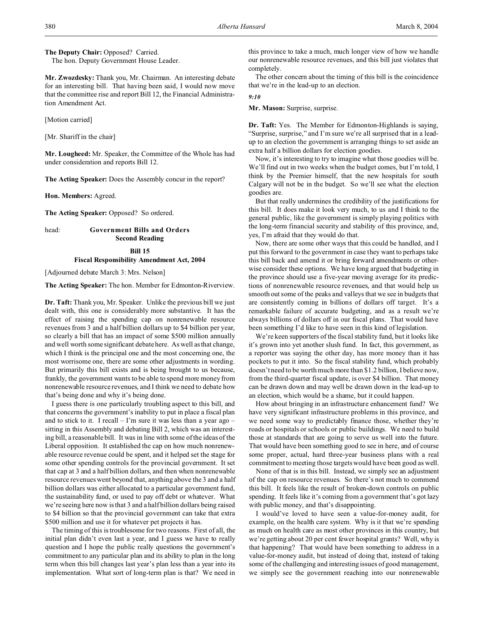**The Deputy Chair:** Opposed? Carried. The hon. Deputy Government House Leader.

**Mr. Zwozdesky:** Thank you, Mr. Chairman. An interesting debate for an interesting bill. That having been said, I would now move that the committee rise and report Bill 12, the Financial Administration Amendment Act.

[Motion carried]

[Mr. Shariff in the chair]

**Mr. Lougheed:** Mr. Speaker, the Committee of the Whole has had under consideration and reports Bill 12.

**The Acting Speaker:** Does the Assembly concur in the report?

**Hon. Members:** Agreed.

**The Acting Speaker:** Opposed? So ordered.

head: **Government Bills and Orders Second Reading**

### **Bill 15**

### **Fiscal Responsibility Amendment Act, 2004**

[Adjourned debate March 3: Mrs. Nelson]

**The Acting Speaker:** The hon. Member for Edmonton-Riverview.

**Dr. Taft:** Thank you, Mr. Speaker. Unlike the previous bill we just dealt with, this one is considerably more substantive. It has the effect of raising the spending cap on nonrenewable resource revenues from 3 and a half billion dollars up to \$4 billion per year, so clearly a bill that has an impact of some \$500 million annually and well worth some significant debate here. As well as that change, which I think is the principal one and the most concerning one, the most worrisome one, there are some other adjustments in wording. But primarily this bill exists and is being brought to us because, frankly, the government wants to be able to spend more money from nonrenewable resource revenues, and I think we need to debate how that's being done and why it's being done.

I guess there is one particularly troubling aspect to this bill, and that concerns the government's inability to put in place a fiscal plan and to stick to it. I recall  $-$  I'm sure it was less than a year ago  $$ sitting in this Assembly and debating Bill 2, which was an interesting bill, a reasonable bill. It was in line with some of the ideas of the Liberal opposition. It established the cap on how much nonrenewable resource revenue could be spent, and it helped set the stage for some other spending controls for the provincial government. It set that cap at 3 and a half billion dollars, and then when nonrenewable resource revenues went beyond that, anything above the 3 and a half billion dollars was either allocated to a particular government fund, the sustainability fund, or used to pay off debt or whatever. What we're seeing here now is that 3 and a half billion dollars being raised to \$4 billion so that the provincial government can take that extra \$500 million and use it for whatever pet projects it has.

The timing of this is troublesome for two reasons. First of all, the initial plan didn't even last a year, and I guess we have to really question and I hope the public really questions the government's commitment to any particular plan and its ability to plan in the long term when this bill changes last year's plan less than a year into its implementation. What sort of long-term plan is that? We need in

this province to take a much, much longer view of how we handle our nonrenewable resource revenues, and this bill just violates that completely.

The other concern about the timing of this bill is the coincidence that we're in the lead-up to an election.

#### *9:10*

**Mr. Mason:** Surprise, surprise.

**Dr. Taft:** Yes. The Member for Edmonton-Highlands is saying, "Surprise, surprise," and I'm sure we're all surprised that in a leadup to an election the government is arranging things to set aside an extra half a billion dollars for election goodies.

Now, it's interesting to try to imagine what those goodies will be. We'll find out in two weeks when the budget comes, but I'm told, I think by the Premier himself, that the new hospitals for south Calgary will not be in the budget. So we'll see what the election goodies are.

But that really undermines the credibility of the justifications for this bill. It does make it look very much, to us and I think to the general public, like the government is simply playing politics with the long-term financial security and stability of this province, and, yes, I'm afraid that they would do that.

Now, there are some other ways that this could be handled, and I put this forward to the government in case they want to perhaps take this bill back and amend it or bring forward amendments or otherwise consider these options. We have long argued that budgeting in the province should use a five-year moving average for its predictions of nonrenewable resource revenues, and that would help us smooth out some of the peaks and valleys that we see in budgets that are consistently coming in billions of dollars off target. It's a remarkable failure of accurate budgeting, and as a result we're always billions of dollars off in our fiscal plans. That would have been something I'd like to have seen in this kind of legislation.

We're keen supporters of the fiscal stability fund, but it looks like it's grown into yet another slush fund. In fact, this government, as a reporter was saying the other day, has more money than it has pockets to put it into. So the fiscal stability fund, which probably doesn't need to be worth much more than \$1.2 billion, I believe now, from the third-quarter fiscal update, is over \$4 billion. That money can be drawn down and may well be drawn down in the lead-up to an election, which would be a shame, but it could happen.

How about bringing in an infrastructure enhancement fund? We have very significant infrastructure problems in this province, and we need some way to predictably finance those, whether they're roads or hospitals or schools or public buildings. We need to build those at standards that are going to serve us well into the future. That would have been something good to see in here, and of course some proper, actual, hard three-year business plans with a real commitment to meeting those targets would have been good as well.

None of that is in this bill. Instead, we simply see an adjustment of the cap on resource revenues. So there's not much to commend this bill. It feels like the result of broken-down controls on public spending. It feels like it's coming from a government that's got lazy with public money, and that's disappointing.

I would've loved to have seen a value-for-money audit, for example, on the health care system. Why is it that we're spending as much on health care as most other provinces in this country, but we're getting about 20 per cent fewer hospital grants? Well, why is that happening? That would have been something to address in a value-for-money audit, but instead of doing that, instead of taking some of the challenging and interesting issues of good management, we simply see the government reaching into our nonrenewable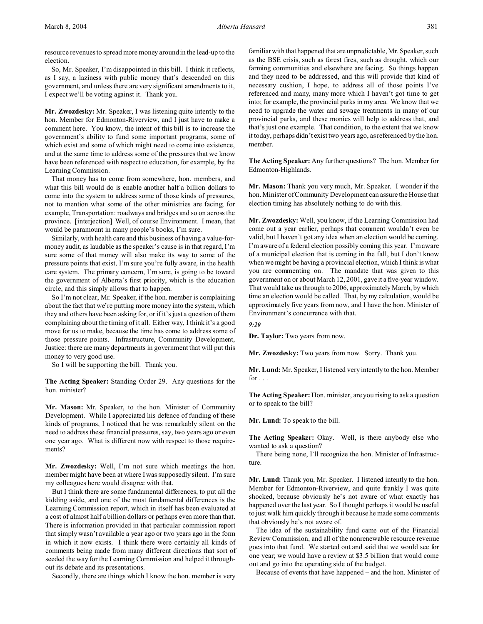resource revenues to spread more money around in the lead-up to the election.

So, Mr. Speaker, I'm disappointed in this bill. I think it reflects, as I say, a laziness with public money that's descended on this government, and unless there are very significant amendments to it, I expect we'll be voting against it. Thank you.

**Mr. Zwozdesky:** Mr. Speaker, I was listening quite intently to the hon. Member for Edmonton-Riverview, and I just have to make a comment here. You know, the intent of this bill is to increase the government's ability to fund some important programs, some of which exist and some of which might need to come into existence, and at the same time to address some of the pressures that we know have been referenced with respect to education, for example, by the Learning Commission.

That money has to come from somewhere, hon. members, and what this bill would do is enable another half a billion dollars to come into the system to address some of those kinds of pressures, not to mention what some of the other ministries are facing; for example, Transportation: roadways and bridges and so on across the province. [interjection] Well, of course Environment. I mean, that would be paramount in many people's books, I'm sure.

Similarly, with health care and this business of having a value-formoney audit, as laudable as the speaker's cause is in that regard, I'm sure some of that money will also make its way to some of the pressure points that exist, I'm sure you're fully aware, in the health care system. The primary concern, I'm sure, is going to be toward the government of Alberta's first priority, which is the education circle, and this simply allows that to happen.

So I'm not clear, Mr. Speaker, if the hon. member is complaining about the fact that we're putting more money into the system, which they and others have been asking for, or if it's just a question of them complaining about the timing of it all. Either way, I think it's a good move for us to make, because the time has come to address some of those pressure points. Infrastructure, Community Development, Justice: there are many departments in government that will put this money to very good use.

So I will be supporting the bill. Thank you.

**The Acting Speaker:** Standing Order 29. Any questions for the hon. minister?

**Mr. Mason:** Mr. Speaker, to the hon. Minister of Community Development. While I appreciated his defence of funding of these kinds of programs, I noticed that he was remarkably silent on the need to address these financial pressures, say, two years ago or even one year ago. What is different now with respect to those requirements?

**Mr. Zwozdesky:** Well, I'm not sure which meetings the hon. member might have been at where I was supposedly silent. I'm sure my colleagues here would disagree with that.

But I think there are some fundamental differences, to put all the kidding aside, and one of the most fundamental differences is the Learning Commission report, which in itself has been evaluated at a cost of almost half a billion dollars or perhaps even more than that. There is information provided in that particular commission report that simply wasn't available a year ago or two years ago in the form in which it now exists. I think there were certainly all kinds of comments being made from many different directions that sort of seeded the way for the Learning Commission and helped it throughout its debate and its presentations.

Secondly, there are things which I know the hon. member is very

familiar with that happened that are unpredictable, Mr. Speaker, such as the BSE crisis, such as forest fires, such as drought, which our farming communities and elsewhere are facing. So things happen and they need to be addressed, and this will provide that kind of necessary cushion, I hope, to address all of those points I've referenced and many, many more which I haven't got time to get into; for example, the provincial parks in my area. We know that we need to upgrade the water and sewage treatments in many of our provincial parks, and these monies will help to address that, and that's just one example. That condition, to the extent that we know it today, perhaps didn't exist two years ago, as referenced by the hon. member.

**The Acting Speaker:** Any further questions? The hon. Member for Edmonton-Highlands.

**Mr. Mason:** Thank you very much, Mr. Speaker. I wonder if the hon. Minister of Community Development can assure the House that election timing has absolutely nothing to do with this.

**Mr. Zwozdesky:** Well, you know, if the Learning Commission had come out a year earlier, perhaps that comment wouldn't even be valid, but I haven't got any idea when an election would be coming. I'm aware of a federal election possibly coming this year. I'm aware of a municipal election that is coming in the fall, but I don't know when we might be having a provincial election, which I think is what you are commenting on. The mandate that was given to this government on or about March 12, 2001, gave it a five-year window. That would take us through to 2006, approximately March, by which time an election would be called. That, by my calculation, would be approximately five years from now, and I have the hon. Minister of Environment's concurrence with that.

*9:20*

**Dr. Taylor:** Two years from now.

**Mr. Zwozdesky:** Two years from now. Sorry. Thank you.

**Mr. Lund:** Mr. Speaker, I listened very intently to the hon. Member for  $\ldots$ 

**The Acting Speaker:** Hon. minister, are you rising to ask a question or to speak to the bill?

**Mr. Lund:** To speak to the bill.

**The Acting Speaker:** Okay. Well, is there anybody else who wanted to ask a question?

There being none, I'll recognize the hon. Minister of Infrastructure.

**Mr. Lund:** Thank you, Mr. Speaker. I listened intently to the hon. Member for Edmonton-Riverview, and quite frankly I was quite shocked, because obviously he's not aware of what exactly has happened over the last year. So I thought perhaps it would be useful to just walk him quickly through it because he made some comments that obviously he's not aware of.

The idea of the sustainability fund came out of the Financial Review Commission, and all of the nonrenewable resource revenue goes into that fund. We started out and said that we would see for one year; we would have a review at \$3.5 billion that would come out and go into the operating side of the budget.

Because of events that have happened – and the hon. Minister of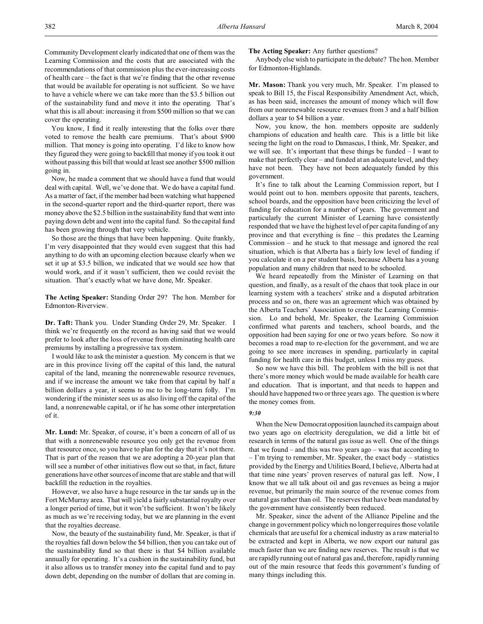Community Development clearly indicated that one of them was the Learning Commission and the costs that are associated with the recommendations of that commission plus the ever-increasing costs of health care – the fact is that we're finding that the other revenue that would be available for operating is not sufficient. So we have to have a vehicle where we can take more than the \$3.5 billion out of the sustainability fund and move it into the operating. That's what this is all about: increasing it from \$500 million so that we can cover the operating.

You know, I find it really interesting that the folks over there voted to remove the health care premiums. That's about \$900 million. That money is going into operating. I'd like to know how they figured they were going to backfill that money if you took it out without passing this bill that would at least see another \$500 million going in.

Now, he made a comment that we should have a fund that would deal with capital. Well, we've done that. We do have a capital fund. As a matter of fact, if the member had been watching what happened in the second-quarter report and the third-quarter report, there was money above the \$2.5 billion in the sustainability fund that went into paying down debt and went into the capital fund. So the capital fund has been growing through that very vehicle.

So those are the things that have been happening. Quite frankly, I'm very disappointed that they would even suggest that this had anything to do with an upcoming election because clearly when we set it up at \$3.5 billion, we indicated that we would see how that would work, and if it wasn't sufficient, then we could revisit the situation. That's exactly what we have done, Mr. Speaker.

**The Acting Speaker:** Standing Order 29? The hon. Member for Edmonton-Riverview.

**Dr. Taft:** Thank you. Under Standing Order 29, Mr. Speaker. I think we're frequently on the record as having said that we would prefer to look after the loss of revenue from eliminating health care premiums by installing a progressive tax system.

I would like to ask the minister a question. My concern is that we are in this province living off the capital of this land, the natural capital of the land, meaning the nonrenewable resource revenues, and if we increase the amount we take from that capital by half a billion dollars a year, it seems to me to be long-term folly. I'm wondering if the minister sees us as also living off the capital of the land, a nonrenewable capital, or if he has some other interpretation of it.

**Mr. Lund:** Mr. Speaker, of course, it's been a concern of all of us that with a nonrenewable resource you only get the revenue from that resource once, so you have to plan for the day that it's not there. That is part of the reason that we are adopting a 20-year plan that will see a number of other initiatives flow out so that, in fact, future generations have other sources of income that are stable and that will backfill the reduction in the royalties.

However, we also have a huge resource in the tar sands up in the Fort McMurray area. That will yield a fairly substantial royalty over a longer period of time, but it won't be sufficient. It won't be likely as much as we're receiving today, but we are planning in the event that the royalties decrease.

Now, the beauty of the sustainability fund, Mr. Speaker, is that if the royalties fall down below the \$4 billion, then you can take out of the sustainability fund so that there is that \$4 billion available annually for operating. It's a cushion in the sustainability fund, but it also allows us to transfer money into the capital fund and to pay down debt, depending on the number of dollars that are coming in.

**The Acting Speaker:** Any further questions?

Anybody else wish to participate in the debate? The hon. Member for Edmonton-Highlands.

**Mr. Mason:** Thank you very much, Mr. Speaker. I'm pleased to speak to Bill 15, the Fiscal Responsibility Amendment Act, which, as has been said, increases the amount of money which will flow from our nonrenewable resource revenues from 3 and a half billion dollars a year to \$4 billion a year.

Now, you know, the hon. members opposite are suddenly champions of education and health care. This is a little bit like seeing the light on the road to Damascus, I think, Mr. Speaker, and we will see. It's important that these things be funded – I want to make that perfectly clear – and funded at an adequate level, and they have not been. They have not been adequately funded by this government.

It's fine to talk about the Learning Commission report, but I would point out to hon. members opposite that parents, teachers, school boards, and the opposition have been criticizing the level of funding for education for a number of years. The government and particularly the current Minister of Learning have consistently responded that we have the highest level of per capita funding of any province and that everything is fine – this predates the Learning Commission – and he stuck to that message and ignored the real situation, which is that Alberta has a fairly low level of funding if you calculate it on a per student basis, because Alberta has a young population and many children that need to be schooled.

We heard repeatedly from the Minister of Learning on that question, and finally, as a result of the chaos that took place in our learning system with a teachers' strike and a disputed arbitration process and so on, there was an agreement which was obtained by the Alberta Teachers' Association to create the Learning Commission. Lo and behold, Mr. Speaker, the Learning Commission confirmed what parents and teachers, school boards, and the opposition had been saying for one or two years before. So now it becomes a road map to re-election for the government, and we are going to see more increases in spending, particularly in capital funding for health care in this budget, unless I miss my guess.

So now we have this bill. The problem with the bill is not that there's more money which would be made available for health care and education. That is important, and that needs to happen and should have happened two or three years ago. The question is where the money comes from.

### *9:30*

When the New Democrat opposition launched its campaign about two years ago on electricity deregulation, we did a little bit of research in terms of the natural gas issue as well. One of the things that we found – and this was two years ago – was that according to – I'm trying to remember, Mr. Speaker, the exact body – statistics provided by the Energy and Utilities Board, I believe, Alberta had at that time nine years' proven reserves of natural gas left. Now, I know that we all talk about oil and gas revenues as being a major revenue, but primarily the main source of the revenue comes from natural gas rather than oil. The reserves that have been mandated by the government have consistently been reduced.

Mr. Speaker, since the advent of the Alliance Pipeline and the change in government policy which no longer requires those volatile chemicals that are useful for a chemical industry as a raw material to be extracted and kept in Alberta, we now export our natural gas much faster than we are finding new reserves. The result is that we are rapidly running out of natural gas and, therefore, rapidly running out of the main resource that feeds this government's funding of many things including this.